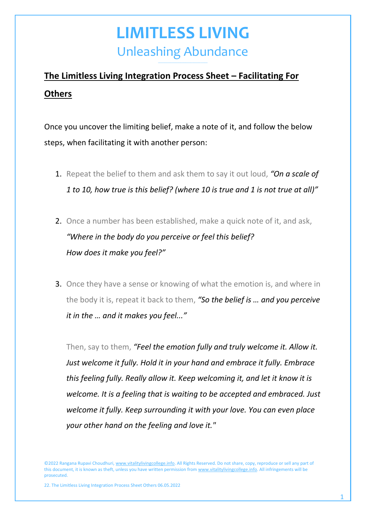#### **The Limitless Living Integration Process Sheet – Facilitating For Others**

Once you uncover the limiting belief, make a note of it, and follow the below steps, when facilitating it with another person:

- 1. Repeat the belief to them and ask them to say it out loud, *"On a scale of 1 to 10, how true is this belief? (where 10 is true and 1 is not true at all)"*
- 2. Once a number has been established, make a quick note of it, and ask, *"Where in the body do you perceive or feel this belief? How does it make you feel?"*
- 3. Once they have a sense or knowing of what the emotion is, and where in the body it is, repeat it back to them, *"So the belief is … and you perceive it in the … and it makes you feel..."*

Then, say to them, *"Feel the emotion fully and truly welcome it. Allow it. Just welcome it fully. Hold it in your hand and embrace it fully. Embrace this feeling fully. Really allow it. Keep welcoming it, and let it know it is welcome. It is a feeling that is waiting to be accepted and embraced. Just welcome it fully. Keep surrounding it with your love. You can even place your other hand on the feeling and love it."*

©2022 Rangana Rupavi Choudhuri[, www.vitalitylivingcollege.info.](http://www.vitalitylivingcollege.info/) All Rights Reserved. Do not share, copy, reproduce or sell any part of this document, it is known as theft, unless you have written permission fro[m www.vitalitylivingcollege.info.](http://www.vitalitylivingcollege.info/) All infringements will be prosecuted.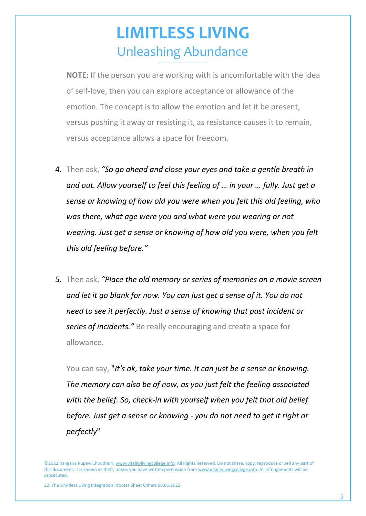**NOTE:** If the person you are working with is uncomfortable with the idea of self-love, then you can explore acceptance or allowance of the emotion. The concept is to allow the emotion and let it be present, versus pushing it away or resisting it, as resistance causes it to remain, versus acceptance allows a space for freedom.

- 4. Then ask, *"So go ahead and close your eyes and take a gentle breath in and out. Allow yourself to feel this feeling of … in your … fully. Just get a sense or knowing of how old you were when you felt this old feeling, who was there, what age were you and what were you wearing or not wearing. Just get a sense or knowing of how old you were, when you felt this old feeling before."*
- 5. Then ask, *"Place the old memory or series of memories on a movie screen and let it go blank for now. You can just get a sense of it. You do not need to see it perfectly. Just a sense of knowing that past incident or series of incidents."* Be really encouraging and create a space for allowance.

You can say, "*It's ok, take your time. It can just be a sense or knowing. The memory can also be of now, as you just felt the feeling associated with the belief. So, check-in with yourself when you felt that old belief before. Just get a sense or knowing - you do not need to get it right or perfectly*"

<sup>©2022</sup> Rangana Rupavi Choudhuri[, www.vitalitylivingcollege.info.](http://www.vitalitylivingcollege.info/) All Rights Reserved. Do not share, copy, reproduce or sell any part of this document, it is known as theft, unless you have written permission fro[m www.vitalitylivingcollege.info.](http://www.vitalitylivingcollege.info/) All infringements will be prosecuted.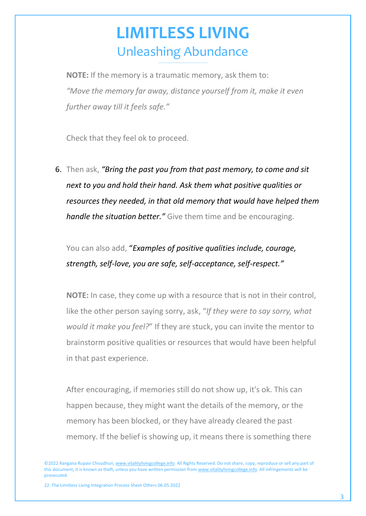**NOTE:** If the memory is a traumatic memory, ask them to: *"Move the memory far away, distance yourself from it, make it even further away till it feels safe."*

Check that they feel ok to proceed.

6. Then ask, *"Bring the past you from that past memory, to come and sit next to you and hold their hand. Ask them what positive qualities or resources they needed, in that old memory that would have helped them handle the situation better."* Give them time and be encouraging.

You can also add, "*Examples of positive qualities include, courage, strength, self-love, you are safe, self-acceptance, self-respect."*

**NOTE:** In case, they come up with a resource that is not in their control, like the other person saying sorry, ask, "*If they were to say sorry, what would it make you feel?*" If they are stuck, you can invite the mentor to brainstorm positive qualities or resources that would have been helpful in that past experience.

After encouraging, if memories still do not show up, it's ok. This can happen because, they might want the details of the memory, or the memory has been blocked, or they have already cleared the past memory. If the belief is showing up, it means there is something there

©2022 Rangana Rupavi Choudhuri[, www.vitalitylivingcollege.info.](http://www.vitalitylivingcollege.info/) All Rights Reserved. Do not share, copy, reproduce or sell any part of this document, it is known as theft, unless you have written permission fro[m www.vitalitylivingcollege.info.](http://www.vitalitylivingcollege.info/) All infringements will be prosecuted.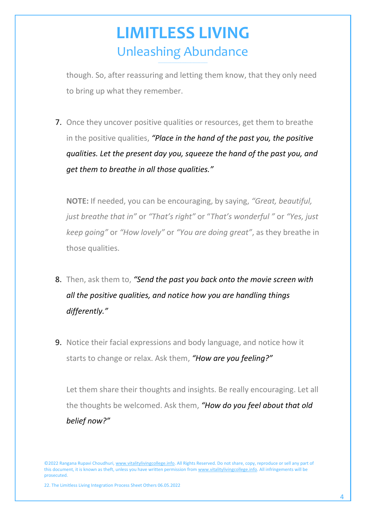though. So, after reassuring and letting them know, that they only need to bring up what they remember.

7. Once they uncover positive qualities or resources, get them to breathe in the positive qualities, *"Place in the hand of the past you, the positive qualities. Let the present day you, squeeze the hand of the past you, and get them to breathe in all those qualities."*

**NOTE:** If needed, you can be encouraging, by saying, *"Great, beautiful, just breathe that in"* or *"That's right"* or "*That's wonderful "* or *"Yes, just keep going"* or *"How lovely"* or *"You are doing great"*, as they breathe in those qualities.

- 8. Then, ask them to, *"Send the past you back onto the movie screen with all the positive qualities, and notice how you are handling things differently."*
- 9. Notice their facial expressions and body language, and notice how it starts to change or relax. Ask them, *"How are you feeling?"*

Let them share their thoughts and insights. Be really encouraging. Let all the thoughts be welcomed. Ask them, *"How do you feel about that old belief now?"*

<sup>©2022</sup> Rangana Rupavi Choudhuri[, www.vitalitylivingcollege.info.](http://www.vitalitylivingcollege.info/) All Rights Reserved. Do not share, copy, reproduce or sell any part of this document, it is known as theft, unless you have written permission fro[m www.vitalitylivingcollege.info.](http://www.vitalitylivingcollege.info/) All infringements will be prosecuted.

<sup>22.</sup> The Limitless Living Integration Process Sheet Others 06.05.2022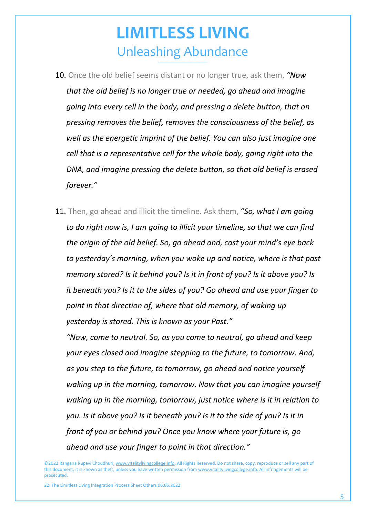- 10. Once the old belief seems distant or no longer true, ask them, *"Now that the old belief is no longer true or needed, go ahead and imagine going into every cell in the body, and pressing a delete button, that on pressing removes the belief, removes the consciousness of the belief, as well as the energetic imprint of the belief. You can also just imagine one cell that is a representative cell for the whole body, going right into the DNA, and imagine pressing the delete button, so that old belief is erased forever."*
- 11. Then, go ahead and illicit the timeline. Ask them, "*So, what I am going to do right now is, I am going to illicit your timeline, so that we can find the origin of the old belief. So, go ahead and, cast your mind's eye back to yesterday's morning, when you woke up and notice, where is that past memory stored? Is it behind you? Is it in front of you? Is it above you? Is it beneath you? Is it to the sides of you? Go ahead and use your finger to point in that direction of, where that old memory, of waking up yesterday is stored. This is known as your Past."*

*"Now, come to neutral. So, as you come to neutral, go ahead and keep your eyes closed and imagine stepping to the future, to tomorrow. And, as you step to the future, to tomorrow, go ahead and notice yourself waking up in the morning, tomorrow. Now that you can imagine yourself waking up in the morning, tomorrow, just notice where is it in relation to you. Is it above you? Is it beneath you? Is it to the side of you? Is it in front of you or behind you? Once you know where your future is, go ahead and use your finger to point in that direction."*

<sup>©2022</sup> Rangana Rupavi Choudhuri[, www.vitalitylivingcollege.info.](http://www.vitalitylivingcollege.info/) All Rights Reserved. Do not share, copy, reproduce or sell any part of this document, it is known as theft, unless you have written permission fro[m www.vitalitylivingcollege.info.](http://www.vitalitylivingcollege.info/) All infringements will be prosecuted.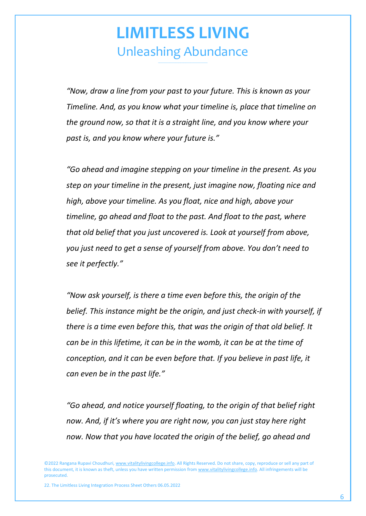*"Now, draw a line from your past to your future. This is known as your Timeline. And, as you know what your timeline is, place that timeline on the ground now, so that it is a straight line, and you know where your past is, and you know where your future is."*

*"Go ahead and imagine stepping on your timeline in the present. As you step on your timeline in the present, just imagine now, floating nice and high, above your timeline. As you float, nice and high, above your timeline, go ahead and float to the past. And float to the past, where that old belief that you just uncovered is. Look at yourself from above, you just need to get a sense of yourself from above. You don't need to see it perfectly."*

*"Now ask yourself, is there a time even before this, the origin of the belief. This instance might be the origin, and just check-in with yourself, if there is a time even before this, that was the origin of that old belief. It can be in this lifetime, it can be in the womb, it can be at the time of conception, and it can be even before that. If you believe in past life, it can even be in the past life."*

*"Go ahead, and notice yourself floating, to the origin of that belief right now. And, if it's where you are right now, you can just stay here right now. Now that you have located the origin of the belief, go ahead and* 

©2022 Rangana Rupavi Choudhuri[, www.vitalitylivingcollege.info.](http://www.vitalitylivingcollege.info/) All Rights Reserved. Do not share, copy, reproduce or sell any part of this document, it is known as theft, unless you have written permission fro[m www.vitalitylivingcollege.info.](http://www.vitalitylivingcollege.info/) All infringements will be prosecuted.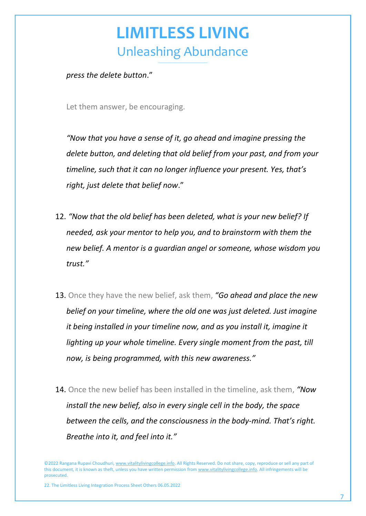*press the delete button*."

Let them answer, be encouraging.

*"Now that you have a sense of it, go ahead and imagine pressing the delete button, and deleting that old belief from your past, and from your timeline, such that it can no longer influence your present. Yes, that's right, just delete that belief now*."

- 12. *"Now that the old belief has been deleted, what is your new belief? If needed, ask your mentor to help you, and to brainstorm with them the new belief. A mentor is a guardian angel or someone, whose wisdom you trust."*
- 13. Once they have the new belief, ask them, *"Go ahead and place the new belief on your timeline, where the old one was just deleted. Just imagine it being installed in your timeline now, and as you install it, imagine it lighting up your whole timeline. Every single moment from the past, till now, is being programmed, with this new awareness."*
- 14. Once the new belief has been installed in the timeline, ask them, *"Now install the new belief, also in every single cell in the body, the space between the cells, and the consciousness in the body-mind. That's right. Breathe into it, and feel into it."*

©2022 Rangana Rupavi Choudhuri[, www.vitalitylivingcollege.info.](http://www.vitalitylivingcollege.info/) All Rights Reserved. Do not share, copy, reproduce or sell any part of this document, it is known as theft, unless you have written permission fro[m www.vitalitylivingcollege.info.](http://www.vitalitylivingcollege.info/) All infringements will be prosecuted.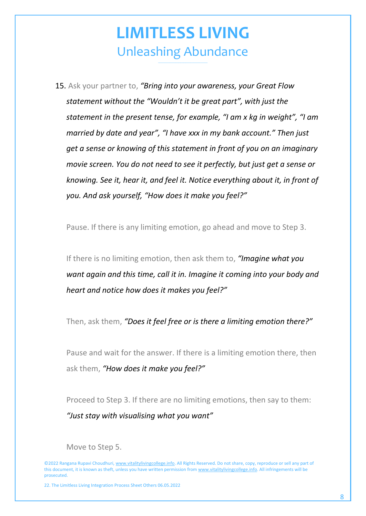15. Ask your partner to, *"Bring into your awareness, your Great Flow statement without the "Wouldn't it be great part", with just the statement in the present tense, for example, "I am x kg in weight", "I am married by date and year", "I have xxx in my bank account." Then just get a sense or knowing of this statement in front of you on an imaginary movie screen. You do not need to see it perfectly, but just get a sense or knowing. See it, hear it, and feel it. Notice everything about it, in front of you. And ask yourself, "How does it make you feel?"*

Pause. If there is any limiting emotion, go ahead and move to Step 3.

If there is no limiting emotion, then ask them to, *"Imagine what you want again and this time, call it in. Imagine it coming into your body and heart and notice how does it makes you feel?"* 

Then, ask them, *"Does it feel free or is there a limiting emotion there?"*

Pause and wait for the answer. If there is a limiting emotion there, then ask them, *"How does it make you feel?"*

Proceed to Step 3. If there are no limiting emotions, then say to them: *"Just stay with visualising what you want"*

Move to Step 5.

©2022 Rangana Rupavi Choudhuri[, www.vitalitylivingcollege.info.](http://www.vitalitylivingcollege.info/) All Rights Reserved. Do not share, copy, reproduce or sell any part of this document, it is known as theft, unless you have written permission fro[m www.vitalitylivingcollege.info.](http://www.vitalitylivingcollege.info/) All infringements will be prosecuted.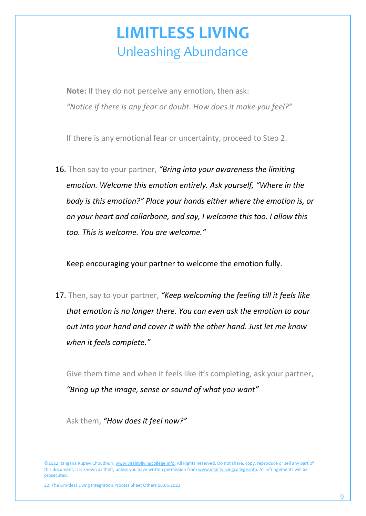**Note:** If they do not perceive any emotion, then ask: *"Notice if there is any fear or doubt. How does it make you feel?"*

If there is any emotional fear or uncertainty, proceed to Step 2.

16. Then say to your partner, *"Bring into your awareness the limiting emotion. Welcome this emotion entirely. Ask yourself, "Where in the body is this emotion?" Place your hands either where the emotion is, or on your heart and collarbone, and say, I welcome this too. I allow this too. This is welcome. You are welcome."*

Keep encouraging your partner to welcome the emotion fully.

17. Then, say to your partner, *"Keep welcoming the feeling till it feels like that emotion is no longer there. You can even ask the emotion to pour out into your hand and cover it with the other hand. Just let me know when it feels complete."* 

Give them time and when it feels like it's completing, ask your partner, *"Bring up the image, sense or sound of what you want"*

Ask them, *"How does it feel now?"*

<sup>©2022</sup> Rangana Rupavi Choudhuri[, www.vitalitylivingcollege.info.](http://www.vitalitylivingcollege.info/) All Rights Reserved. Do not share, copy, reproduce or sell any part of this document, it is known as theft, unless you have written permission fro[m www.vitalitylivingcollege.info.](http://www.vitalitylivingcollege.info/) All infringements will be prosecuted.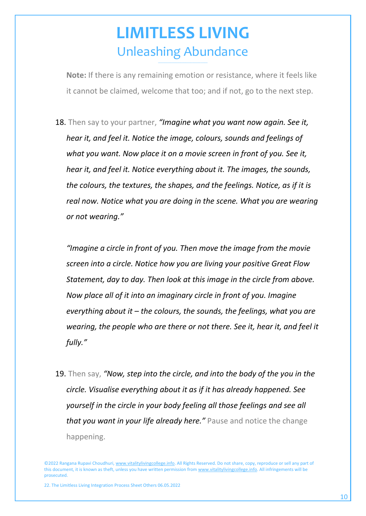**Note:** If there is any remaining emotion or resistance, where it feels like it cannot be claimed, welcome that too; and if not, go to the next step.

18. Then say to your partner, *"Imagine what you want now again. See it, hear it, and feel it. Notice the image, colours, sounds and feelings of what you want. Now place it on a movie screen in front of you. See it, hear it, and feel it. Notice everything about it. The images, the sounds, the colours, the textures, the shapes, and the feelings. Notice, as if it is real now. Notice what you are doing in the scene. What you are wearing or not wearing."*

*"Imagine a circle in front of you. Then move the image from the movie screen into a circle. Notice how you are living your positive Great Flow Statement, day to day. Then look at this image in the circle from above. Now place all of it into an imaginary circle in front of you. Imagine everything about it – the colours, the sounds, the feelings, what you are wearing, the people who are there or not there. See it, hear it, and feel it fully."* 

19. Then say, *"Now, step into the circle, and into the body of the you in the circle. Visualise everything about it as if it has already happened. See yourself in the circle in your body feeling all those feelings and see all that you want in your life already here."* Pause and notice the change happening.

<sup>©2022</sup> Rangana Rupavi Choudhuri[, www.vitalitylivingcollege.info.](http://www.vitalitylivingcollege.info/) All Rights Reserved. Do not share, copy, reproduce or sell any part of this document, it is known as theft, unless you have written permission fro[m www.vitalitylivingcollege.info.](http://www.vitalitylivingcollege.info/) All infringements will be prosecuted.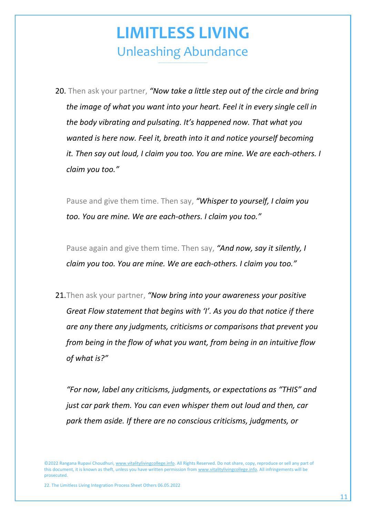20. Then ask your partner, *"Now take a little step out of the circle and bring the image of what you want into your heart. Feel it in every single cell in the body vibrating and pulsating. It's happened now. That what you wanted is here now. Feel it, breath into it and notice yourself becoming it. Then say out loud, I claim you too. You are mine. We are each-others. I claim you too."*

Pause and give them time. Then say, *"Whisper to yourself, I claim you too. You are mine. We are each-others. I claim you too."*

Pause again and give them time. Then say, *"And now, say it silently, I claim you too. You are mine. We are each-others. I claim you too."*

21.Then ask your partner, *"Now bring into your awareness your positive Great Flow statement that begins with 'I'. As you do that notice if there are any there any judgments, criticisms or comparisons that prevent you from being in the flow of what you want, from being in an intuitive flow of what is?"* 

*"For now, label any criticisms, judgments, or expectations as "THIS" and just car park them. You can even whisper them out loud and then, car park them aside. If there are no conscious criticisms, judgments, or* 

<sup>©2022</sup> Rangana Rupavi Choudhuri[, www.vitalitylivingcollege.info.](http://www.vitalitylivingcollege.info/) All Rights Reserved. Do not share, copy, reproduce or sell any part of this document, it is known as theft, unless you have written permission fro[m www.vitalitylivingcollege.info.](http://www.vitalitylivingcollege.info/) All infringements will be prosecuted.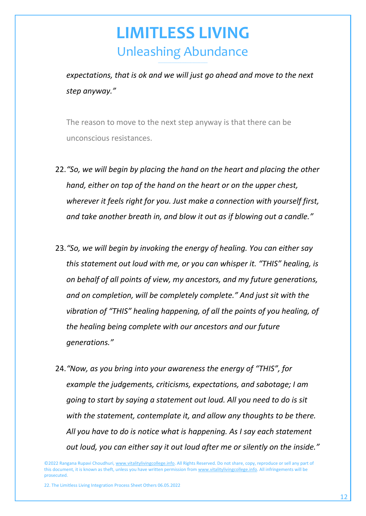*expectations, that is ok and we will just go ahead and move to the next step anyway."*

The reason to move to the next step anyway is that there can be unconscious resistances.

- 22.*"So, we will begin by placing the hand on the heart and placing the other hand, either on top of the hand on the heart or on the upper chest, wherever it feels right for you. Just make a connection with yourself first, and take another breath in, and blow it out as if blowing out a candle."*
- 23.*"So, we will begin by invoking the energy of healing. You can either say this statement out loud with me, or you can whisper it. "THIS" healing, is on behalf of all points of view, my ancestors, and my future generations, and on completion, will be completely complete." And just sit with the vibration of "THIS" healing happening, of all the points of you healing, of the healing being complete with our ancestors and our future generations."*
- 24.*"Now, as you bring into your awareness the energy of "THIS", for example the judgements, criticisms, expectations, and sabotage; I am going to start by saying a statement out loud. All you need to do is sit with the statement, contemplate it, and allow any thoughts to be there. All you have to do is notice what is happening. As I say each statement out loud, you can either say it out loud after me or silently on the inside."*

©2022 Rangana Rupavi Choudhuri[, www.vitalitylivingcollege.info.](http://www.vitalitylivingcollege.info/) All Rights Reserved. Do not share, copy, reproduce or sell any part of this document, it is known as theft, unless you have written permission fro[m www.vitalitylivingcollege.info.](http://www.vitalitylivingcollege.info/) All infringements will be prosecuted.

<sup>22.</sup> The Limitless Living Integration Process Sheet Others 06.05.2022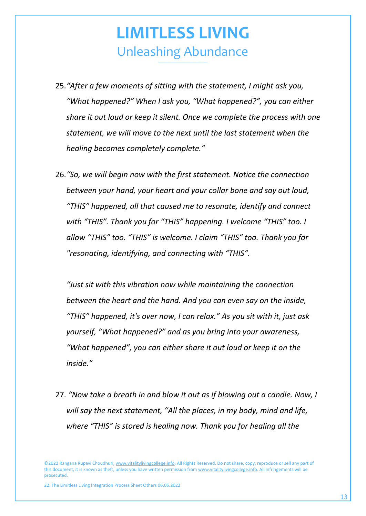- 25.*"After a few moments of sitting with the statement, I might ask you, "What happened?" When I ask you, "What happened?", you can either share it out loud or keep it silent. Once we complete the process with one statement, we will move to the next until the last statement when the healing becomes completely complete."*
- 26.*"So, we will begin now with the first statement. Notice the connection between your hand, your heart and your collar bone and say out loud, "THIS" happened, all that caused me to resonate, identify and connect with "THIS". Thank you for "THIS" happening. I welcome "THIS" too. I allow "THIS" too. "THIS" is welcome. I claim "THIS" too. Thank you for "resonating, identifying, and connecting with "THIS".*

*"Just sit with this vibration now while maintaining the connection between the heart and the hand. And you can even say on the inside, "THIS" happened, it's over now, I can relax." As you sit with it, just ask yourself, "What happened?" and as you bring into your awareness, "What happened", you can either share it out loud or keep it on the inside."*

27. *"Now take a breath in and blow it out as if blowing out a candle. Now, I will say the next statement, "All the places, in my body, mind and life, where "THIS" is stored is healing now. Thank you for healing all the* 

©2022 Rangana Rupavi Choudhuri[, www.vitalitylivingcollege.info.](http://www.vitalitylivingcollege.info/) All Rights Reserved. Do not share, copy, reproduce or sell any part of this document, it is known as theft, unless you have written permission fro[m www.vitalitylivingcollege.info.](http://www.vitalitylivingcollege.info/) All infringements will be prosecuted.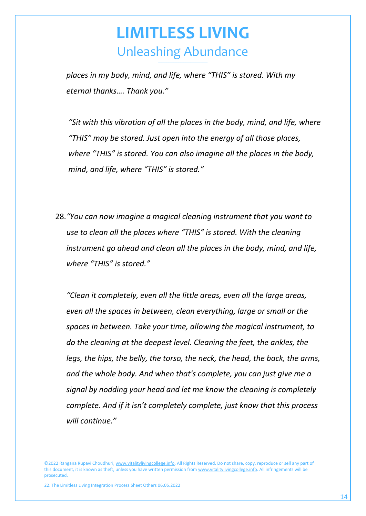*places in my body, mind, and life, where "THIS" is stored. With my eternal thanks…. Thank you."*

*"Sit with this vibration of all the places in the body, mind, and life, where "THIS" may be stored. Just open into the energy of all those places, where "THIS" is stored. You can also imagine all the places in the body, mind, and life, where "THIS" is stored."*

28.*"You can now imagine a magical cleaning instrument that you want to use to clean all the places where "THIS" is stored. With the cleaning instrument go ahead and clean all the places in the body, mind, and life, where "THIS" is stored."*

*"Clean it completely, even all the little areas, even all the large areas, even all the spaces in between, clean everything, large or small or the spaces in between. Take your time, allowing the magical instrument, to do the cleaning at the deepest level. Cleaning the feet, the ankles, the legs, the hips, the belly, the torso, the neck, the head, the back, the arms, and the whole body. And when that's complete, you can just give me a signal by nodding your head and let me know the cleaning is completely complete. And if it isn't completely complete, just know that this process will continue."*

©2022 Rangana Rupavi Choudhuri[, www.vitalitylivingcollege.info.](http://www.vitalitylivingcollege.info/) All Rights Reserved. Do not share, copy, reproduce or sell any part of this document, it is known as theft, unless you have written permission fro[m www.vitalitylivingcollege.info.](http://www.vitalitylivingcollege.info/) All infringements will be prosecuted.

<sup>22.</sup> The Limitless Living Integration Process Sheet Others 06.05.2022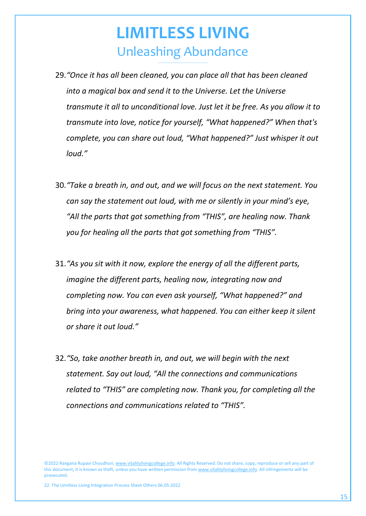- 29.*"Once it has all been cleaned, you can place all that has been cleaned into a magical box and send it to the Universe. Let the Universe transmute it all to unconditional love. Just let it be free. As you allow it to transmute into love, notice for yourself, "What happened?" When that's complete, you can share out loud, "What happened?" Just whisper it out loud."*
- 30.*"Take a breath in, and out, and we will focus on the next statement. You can say the statement out loud, with me or silently in your mind's eye, "All the parts that got something from "THIS", are healing now. Thank you for healing all the parts that got something from "THIS".*
- 31.*"As you sit with it now, explore the energy of all the different parts, imagine the different parts, healing now, integrating now and completing now. You can even ask yourself, "What happened?" and bring into your awareness, what happened. You can either keep it silent or share it out loud."*
- 32.*"So, take another breath in, and out, we will begin with the next statement. Say out loud, "All the connections and communications related to "THIS" are completing now. Thank you, for completing all the connections and communications related to "THIS".*

©2022 Rangana Rupavi Choudhuri[, www.vitalitylivingcollege.info.](http://www.vitalitylivingcollege.info/) All Rights Reserved. Do not share, copy, reproduce or sell any part of this document, it is known as theft, unless you have written permission fro[m www.vitalitylivingcollege.info.](http://www.vitalitylivingcollege.info/) All infringements will be prosecuted.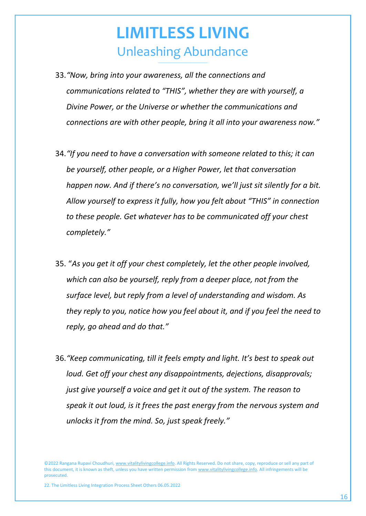- 33.*"Now, bring into your awareness, all the connections and communications related to "THIS", whether they are with yourself, a Divine Power, or the Universe or whether the communications and connections are with other people, bring it all into your awareness now."*
- 34.*"If you need to have a conversation with someone related to this; it can be yourself, other people, or a Higher Power, let that conversation happen now. And if there's no conversation, we'll just sit silently for a bit. Allow yourself to express it fully, how you felt about "THIS" in connection to these people. Get whatever has to be communicated off your chest completely."*
- 35. "*As you get it off your chest completely, let the other people involved, which can also be yourself, reply from a deeper place, not from the surface level, but reply from a level of understanding and wisdom. As they reply to you, notice how you feel about it, and if you feel the need to reply, go ahead and do that."*
- 36.*"Keep communicating, till it feels empty and light. It's best to speak out loud. Get off your chest any disappointments, dejections, disapprovals; just give yourself a voice and get it out of the system. The reason to speak it out loud, is it frees the past energy from the nervous system and unlocks it from the mind. So, just speak freely."*

<sup>©2022</sup> Rangana Rupavi Choudhuri[, www.vitalitylivingcollege.info.](http://www.vitalitylivingcollege.info/) All Rights Reserved. Do not share, copy, reproduce or sell any part of this document, it is known as theft, unless you have written permission fro[m www.vitalitylivingcollege.info.](http://www.vitalitylivingcollege.info/) All infringements will be prosecuted.

<sup>22.</sup> The Limitless Living Integration Process Sheet Others 06.05.2022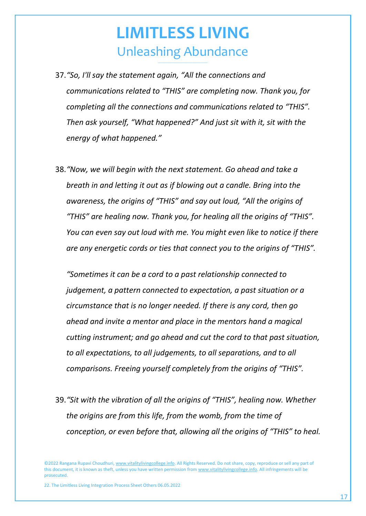- 37.*"So, I'll say the statement again, "All the connections and communications related to "THIS" are completing now. Thank you, for completing all the connections and communications related to "THIS". Then ask yourself, "What happened?" And just sit with it, sit with the energy of what happened."*
- 38.*"Now, we will begin with the next statement. Go ahead and take a breath in and letting it out as if blowing out a candle. Bring into the awareness, the origins of "THIS" and say out loud, "All the origins of "THIS" are healing now. Thank you, for healing all the origins of "THIS". You can even say out loud with me. You might even like to notice if there are any energetic cords or ties that connect you to the origins of "THIS".*

*"Sometimes it can be a cord to a past relationship connected to judgement, a pattern connected to expectation, a past situation or a circumstance that is no longer needed. If there is any cord, then go ahead and invite a mentor and place in the mentors hand a magical cutting instrument; and go ahead and cut the cord to that past situation, to all expectations, to all judgements, to all separations, and to all comparisons. Freeing yourself completely from the origins of "THIS".*

39.*"Sit with the vibration of all the origins of "THIS", healing now. Whether the origins are from this life, from the womb, from the time of conception, or even before that, allowing all the origins of "THIS" to heal.* 

©2022 Rangana Rupavi Choudhuri[, www.vitalitylivingcollege.info.](http://www.vitalitylivingcollege.info/) All Rights Reserved. Do not share, copy, reproduce or sell any part of this document, it is known as theft, unless you have written permission fro[m www.vitalitylivingcollege.info.](http://www.vitalitylivingcollege.info/) All infringements will be prosecuted.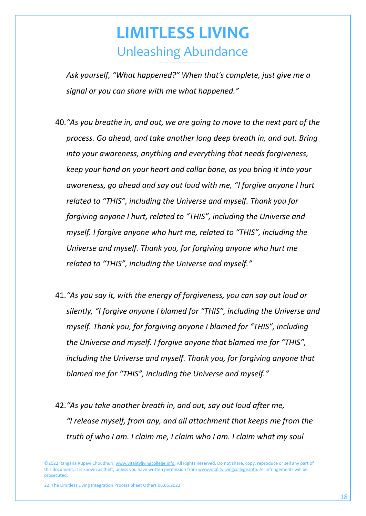*Ask yourself, "What happened?" When that's complete, just give me a signal or you can share with me what happened."*

- 40.*"As you breathe in, and out, we are going to move to the next part of the process. Go ahead, and take another long deep breath in, and out. Bring into your awareness, anything and everything that needs forgiveness, keep your hand on your heart and collar bone, as you bring it into your awareness, go ahead and say out loud with me, "I forgive anyone I hurt related to "THIS", including the Universe and myself. Thank you for forgiving anyone I hurt, related to "THIS", including the Universe and myself. I forgive anyone who hurt me, related to "THIS", including the Universe and myself. Thank you, for forgiving anyone who hurt me related to "THIS", including the Universe and myself."*
- 41.*"As you say it, with the energy of forgiveness, you can say out loud or silently, "I forgive anyone I blamed for "THIS", including the Universe and myself. Thank you, for forgiving anyone I blamed for "THIS", including the Universe and myself. I forgive anyone that blamed me for "THIS", including the Universe and myself. Thank you, for forgiving anyone that blamed me for "THIS", including the Universe and myself."*
- 42.*"As you take another breath in, and out, say out loud after me, "I release myself, from any, and all attachment that keeps me from the truth of who I am. I claim me, I claim who I am. I claim what my soul*

©2022 Rangana Rupavi Choudhuri[, www.vitalitylivingcollege.info.](http://www.vitalitylivingcollege.info/) All Rights Reserved. Do not share, copy, reproduce or sell any part of this document, it is known as theft, unless you have written permission fro[m www.vitalitylivingcollege.info.](http://www.vitalitylivingcollege.info/) All infringements will be prosecuted.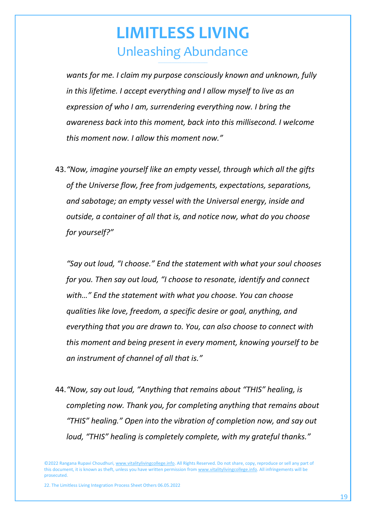*wants for me. I claim my purpose consciously known and unknown, fully in this lifetime. I accept everything and I allow myself to live as an expression of who I am, surrendering everything now. I bring the awareness back into this moment, back into this millisecond. I welcome this moment now. I allow this moment now."*

43.*"Now, imagine yourself like an empty vessel, through which all the gifts of the Universe flow, free from judgements, expectations, separations, and sabotage; an empty vessel with the Universal energy, inside and outside, a container of all that is, and notice now, what do you choose for yourself?"*

*"Say out loud, "I choose." End the statement with what your soul chooses for you. Then say out loud, "I choose to resonate, identify and connect with…" End the statement with what you choose. You can choose qualities like love, freedom, a specific desire or goal, anything, and everything that you are drawn to. You, can also choose to connect with this moment and being present in every moment, knowing yourself to be an instrument of channel of all that is."*

44.*"Now, say out loud, "Anything that remains about "THIS" healing, is completing now. Thank you, for completing anything that remains about "THIS" healing." Open into the vibration of completion now, and say out loud, "THIS" healing is completely complete, with my grateful thanks."*

©2022 Rangana Rupavi Choudhuri[, www.vitalitylivingcollege.info.](http://www.vitalitylivingcollege.info/) All Rights Reserved. Do not share, copy, reproduce or sell any part of this document, it is known as theft, unless you have written permission fro[m www.vitalitylivingcollege.info.](http://www.vitalitylivingcollege.info/) All infringements will be prosecuted.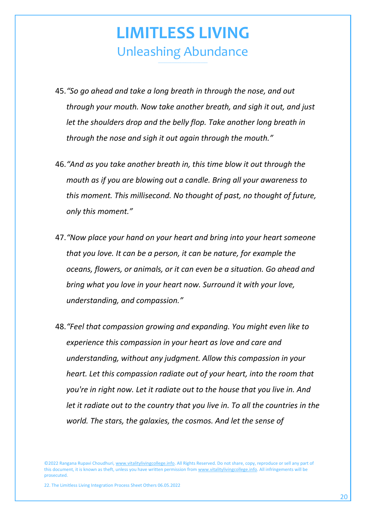- 45.*"So go ahead and take a long breath in through the nose, and out through your mouth. Now take another breath, and sigh it out, and just let the shoulders drop and the belly flop. Take another long breath in through the nose and sigh it out again through the mouth."*
- 46.*"And as you take another breath in, this time blow it out through the mouth as if you are blowing out a candle. Bring all your awareness to this moment. This millisecond. No thought of past, no thought of future, only this moment."*
- 47.*"Now place your hand on your heart and bring into your heart someone that you love. It can be a person, it can be nature, for example the oceans, flowers, or animals, or it can even be a situation. Go ahead and bring what you love in your heart now. Surround it with your love, understanding, and compassion."*
- 48.*"Feel that compassion growing and expanding. You might even like to experience this compassion in your heart as love and care and understanding, without any judgment. Allow this compassion in your heart. Let this compassion radiate out of your heart, into the room that you're in right now. Let it radiate out to the house that you live in. And let it radiate out to the country that you live in. To all the countries in the world. The stars, the galaxies, the cosmos. And let the sense of*

<sup>©2022</sup> Rangana Rupavi Choudhuri[, www.vitalitylivingcollege.info.](http://www.vitalitylivingcollege.info/) All Rights Reserved. Do not share, copy, reproduce or sell any part of this document, it is known as theft, unless you have written permission fro[m www.vitalitylivingcollege.info.](http://www.vitalitylivingcollege.info/) All infringements will be prosecuted.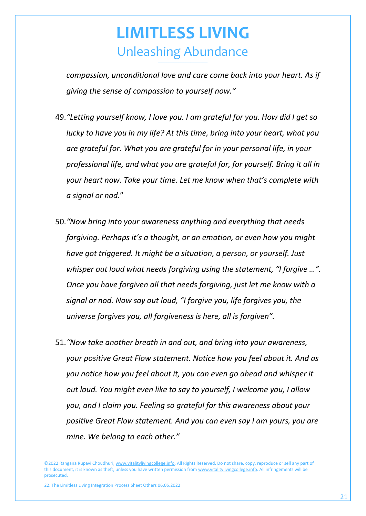*compassion, unconditional love and care come back into your heart. As if giving the sense of compassion to yourself now."*

- 49.*"Letting yourself know, I love you. I am grateful for you. How did I get so lucky to have you in my life? At this time, bring into your heart, what you are grateful for. What you are grateful for in your personal life, in your professional life, and what you are grateful for, for yourself. Bring it all in your heart now. Take your time. Let me know when that's complete with a signal or nod.*"
- 50.*"Now bring into your awareness anything and everything that needs forgiving. Perhaps it's a thought, or an emotion, or even how you might have got triggered. It might be a situation, a person, or yourself. Just whisper out loud what needs forgiving using the statement, "I forgive …". Once you have forgiven all that needs forgiving, just let me know with a signal or nod. Now say out loud, "I forgive you, life forgives you, the universe forgives you, all forgiveness is here, all is forgiven".*
- 51.*"Now take another breath in and out, and bring into your awareness, your positive Great Flow statement. Notice how you feel about it. And as you notice how you feel about it, you can even go ahead and whisper it out loud. You might even like to say to yourself, I welcome you, I allow you, and I claim you. Feeling so grateful for this awareness about your positive Great Flow statement. And you can even say I am yours, you are mine. We belong to each other."*

©2022 Rangana Rupavi Choudhuri[, www.vitalitylivingcollege.info.](http://www.vitalitylivingcollege.info/) All Rights Reserved. Do not share, copy, reproduce or sell any part of this document, it is known as theft, unless you have written permission fro[m www.vitalitylivingcollege.info.](http://www.vitalitylivingcollege.info/) All infringements will be prosecuted.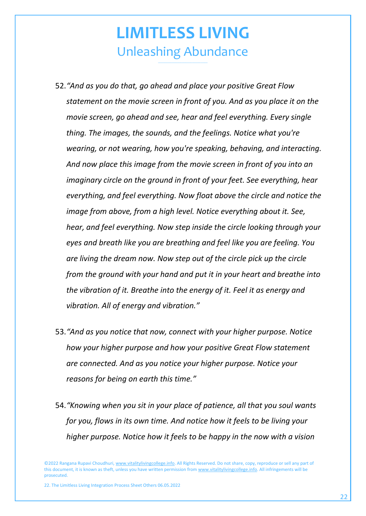- 52.*"And as you do that, go ahead and place your positive Great Flow statement on the movie screen in front of you. And as you place it on the movie screen, go ahead and see, hear and feel everything. Every single thing. The images, the sounds, and the feelings. Notice what you're wearing, or not wearing, how you're speaking, behaving, and interacting. And now place this image from the movie screen in front of you into an imaginary circle on the ground in front of your feet. See everything, hear everything, and feel everything. Now float above the circle and notice the image from above, from a high level. Notice everything about it. See, hear, and feel everything. Now step inside the circle looking through your eyes and breath like you are breathing and feel like you are feeling. You are living the dream now. Now step out of the circle pick up the circle from the ground with your hand and put it in your heart and breathe into the vibration of it. Breathe into the energy of it. Feel it as energy and vibration. All of energy and vibration."*
- 53.*"And as you notice that now, connect with your higher purpose. Notice how your higher purpose and how your positive Great Flow statement are connected. And as you notice your higher purpose. Notice your reasons for being on earth this time."*
- 54.*"Knowing when you sit in your place of patience, all that you soul wants for you, flows in its own time. And notice how it feels to be living your higher purpose. Notice how it feels to be happy in the now with a vision*

©2022 Rangana Rupavi Choudhuri[, www.vitalitylivingcollege.info.](http://www.vitalitylivingcollege.info/) All Rights Reserved. Do not share, copy, reproduce or sell any part of this document, it is known as theft, unless you have written permission fro[m www.vitalitylivingcollege.info.](http://www.vitalitylivingcollege.info/) All infringements will be prosecuted.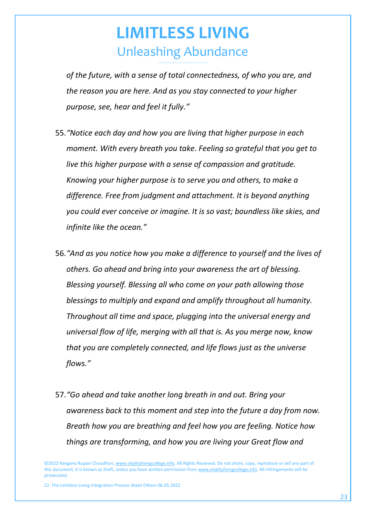*of the future, with a sense of total connectedness, of who you are, and the reason you are here. And as you stay connected to your higher purpose, see, hear and feel it fully."*

- 55.*"Notice each day and how you are living that higher purpose in each moment. With every breath you take. Feeling so grateful that you get to live this higher purpose with a sense of compassion and gratitude. Knowing your higher purpose is to serve you and others, to make a difference. Free from judgment and attachment. It is beyond anything you could ever conceive or imagine. It is so vast; boundless like skies, and infinite like the ocean."*
- 56.*"And as you notice how you make a difference to yourself and the lives of others. Go ahead and bring into your awareness the art of blessing. Blessing yourself. Blessing all who come on your path allowing those blessings to multiply and expand and amplify throughout all humanity. Throughout all time and space, plugging into the universal energy and universal flow of life, merging with all that is. As you merge now, know that you are completely connected, and life flows just as the universe flows."*
- 57.*"Go ahead and take another long breath in and out. Bring your awareness back to this moment and step into the future a day from now. Breath how you are breathing and feel how you are feeling. Notice how things are transforming, and how you are living your Great flow and*

©2022 Rangana Rupavi Choudhuri[, www.vitalitylivingcollege.info.](http://www.vitalitylivingcollege.info/) All Rights Reserved. Do not share, copy, reproduce or sell any part of this document, it is known as theft, unless you have written permission fro[m www.vitalitylivingcollege.info.](http://www.vitalitylivingcollege.info/) All infringements will be prosecuted.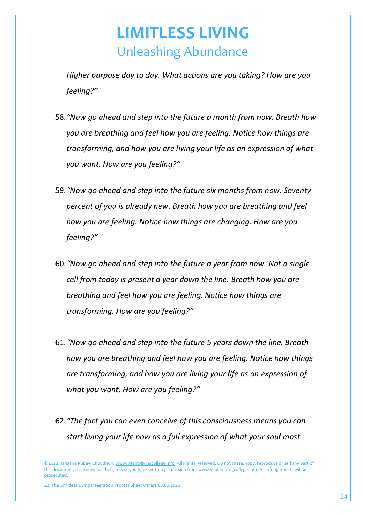*Higher purpose day to day. What actions are you taking? How are you feeling?"*

- 58.*"Now go ahead and step into the future a month from now. Breath how you are breathing and feel how you are feeling. Notice how things are transforming, and how you are living your life as an expression of what you want. How are you feeling?"*
- 59.*"Now go ahead and step into the future six months from now. Seventy percent of you is already new. Breath how you are breathing and feel how you are feeling. Notice how things are changing. How are you feeling?"*
- 60.*"Now go ahead and step into the future a year from now. Not a single cell from today is present a year down the line. Breath how you are breathing and feel how you are feeling. Notice how things are transforming. How are you feeling?"*
- 61.*"Now go ahead and step into the future 5 years down the line. Breath how you are breathing and feel how you are feeling. Notice how things are transforming, and how you are living your life as an expression of what you want. How are you feeling?"*
- 62.*"The fact you can even conceive of this consciousness means you can start living your life now as a full expression of what your soul most*

©2022 Rangana Rupavi Choudhuri[, www.vitalitylivingcollege.info.](http://www.vitalitylivingcollege.info/) All Rights Reserved. Do not share, copy, reproduce or sell any part of this document, it is known as theft, unless you have written permission fro[m www.vitalitylivingcollege.info.](http://www.vitalitylivingcollege.info/) All infringements will be prosecuted.